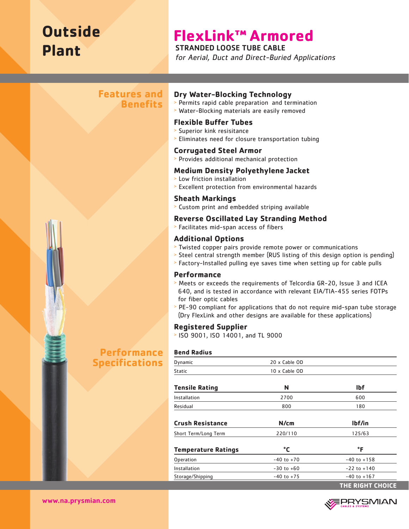# **Outside Plant**

# **FlexLink™ Armored**

STRANDED LOOSE TUBE CABLE

for Aerial, Duct and Direct-Buried Applications

# **Features and Benefits**

**Performance Specifications**



#### **Dry Water-Blocking Technology**

- <sup>&</sup>gt; Permits rapid cable preparation and termination
- <sup>&</sup>gt; Water-Blocking materials are easily removed

### **Flexible Buffer Tubes**

- <sup>&</sup>gt; Superior kink resisitance
- <sup>&</sup>gt; Eliminates need for closure transportation tubing

#### **Corrugated Steel Armor**

<sup>&</sup>gt; Provides additional mechanical protection

#### **Medium Density Polyethylene Jacket**

- <sup>&</sup>gt; Low friction installation
- <sup>&</sup>gt; Excellent protection from environmental hazards

#### **Sheath Markings**

<sup>&</sup>gt; Custom print and embedded striping available

#### **Reverse Oscillated Lay Stranding Method**

<sup>&</sup>gt; Facilitates mid-span access of fibers

### **Additional Options**

- <sup>&</sup>gt; Twisted copper pairs provide remote power or communications
- <sup>&</sup>gt; Steel central strength member (RUS listing of this design option is pending)
- <sup>&</sup>gt; Factory-Installed pulling eye saves time when setting up for cable pulls

#### **Performance**

- <sup>&</sup>gt; Meets or exceeds the requirements of Telcordia GR-20, Issue 3 and ICEA 640, and is tested in accordance with relevant EIA/TIA-455 series FOTPs for fiber optic cables
- <sup>&</sup>gt; PE-90 compliant for applications that do not require mid-span tube storage (Dry FlexLink and other designs are available for these applications)

### **Registered Supplier**

<sup>&</sup>gt; ISO 9001, ISO 14001, and TL 9000

#### **Bend Radius**

| Dynamic                    | 20 x Cable OD  |                         |
|----------------------------|----------------|-------------------------|
| <b>Static</b>              | 10 x Cable OD  |                         |
| <b>Tensile Rating</b>      | N              | <b>Ibf</b>              |
| Installation               | 2700           | 600                     |
| Residual                   | 800            | 180                     |
| <b>Crush Resistance</b>    | N/cm           | lbf/in                  |
| Short Term/Long Term       | 220/110        | 125/63                  |
| <b>Temperature Ratings</b> | °C             | °F                      |
| Operation                  | $-40$ to $+70$ | $-40$ to $+158$         |
| Installation               | $-30$ to $+60$ | $-22$ to $+140$         |
| Storage/Shipping           | $-40$ to $+75$ | $-40$ to $+167$         |
|                            |                | <b>THE RIGHT CHOICE</b> |